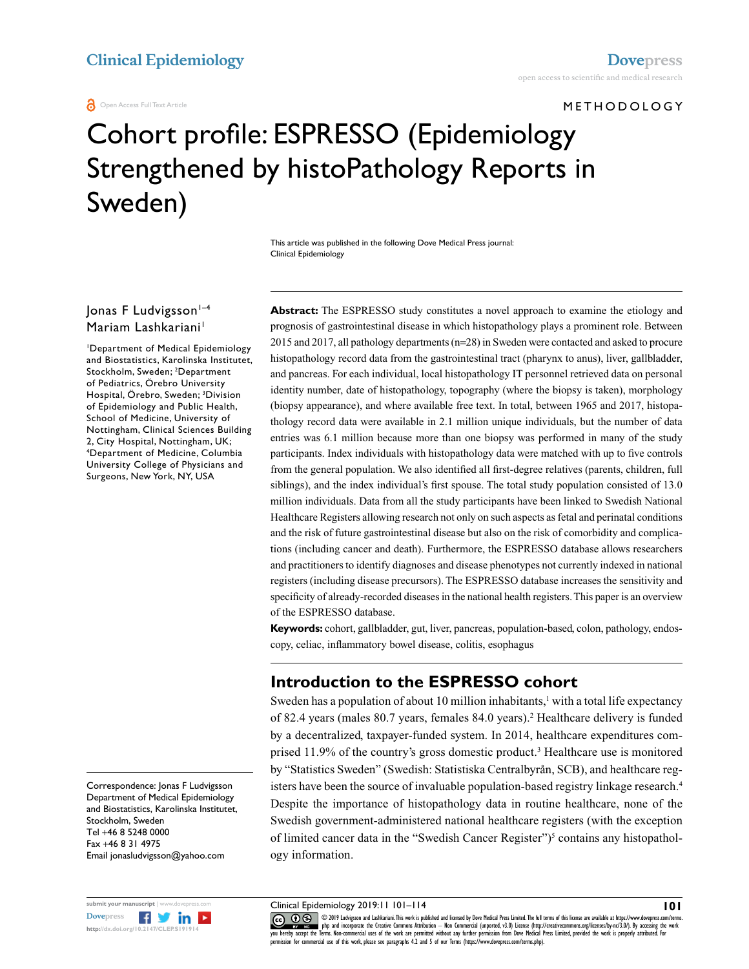#### **a** Open Access Full Text Article

**METHODOLOGY** 

# Cohort profile: ESPRESSO (Epidemiology Strengthened by histoPathology Reports in Sweden)

This article was published in the following Dove Medical Press journal: Clinical Epidemiology

#### $I$ onas F Ludvigsson $I-4$ Mariam Lashkariani<sup>1</sup>

1 Department of Medical Epidemiology and Biostatistics, Karolinska Institutet, Stockholm, Sweden; <sup>2</sup> Department of Pediatrics, Örebro University Hospital, Örebro, Sweden; <sup>3</sup> Division of Epidemiology and Public Health, School of Medicine, University of Nottingham, Clinical Sciences Building 2, City Hospital, Nottingham, UK; 4 Department of Medicine, Columbia University College of Physicians and Surgeons, New York, NY, USA

Correspondence: Jonas F Ludvigsson Department of Medical Epidemiology and Biostatistics, Karolinska Institutet, Stockholm, Sweden Tel +46 8 5248 0000 Fax +46 8 31 4975 Email jonasludvigsson@yahoo.com



**Abstract:** The ESPRESSO study constitutes a novel approach to examine the etiology and prognosis of gastrointestinal disease in which histopathology plays a prominent role. Between 2015 and 2017, all pathology departments (n=28) in Sweden were contacted and asked to procure histopathology record data from the gastrointestinal tract (pharynx to anus), liver, gallbladder, and pancreas. For each individual, local histopathology IT personnel retrieved data on personal identity number, date of histopathology, topography (where the biopsy is taken), morphology (biopsy appearance), and where available free text. In total, between 1965 and 2017, histopathology record data were available in 2.1 million unique individuals, but the number of data entries was 6.1 million because more than one biopsy was performed in many of the study participants. Index individuals with histopathology data were matched with up to five controls from the general population. We also identified all first-degree relatives (parents, children, full siblings), and the index individual's first spouse. The total study population consisted of 13.0 million individuals. Data from all the study participants have been linked to Swedish National Healthcare Registers allowing research not only on such aspects as fetal and perinatal conditions and the risk of future gastrointestinal disease but also on the risk of comorbidity and complications (including cancer and death). Furthermore, the ESPRESSO database allows researchers and practitioners to identify diagnoses and disease phenotypes not currently indexed in national registers (including disease precursors). The ESPRESSO database increases the sensitivity and specificity of already-recorded diseases in the national health registers. This paper is an overview of the ESPRESSO database.

**Keywords:** cohort, gallbladder, gut, liver, pancreas, population-based, colon, pathology, endoscopy, celiac, inflammatory bowel disease, colitis, esophagus

### **Introduction to the ESPRESSO cohort**

Sweden has a population of about 10 million inhabitants, $\frac{1}{2}$  with a total life expectancy of 82.4 years (males 80.7 years, females 84.0 years).<sup>2</sup> Healthcare delivery is funded by a decentralized, taxpayer-funded system. In 2014, healthcare expenditures comprised 11.9% of the country's gross domestic product.<sup>3</sup> Healthcare use is monitored by "Statistics Sweden" (Swedish: Statistiska Centralbyrån, SCB), and healthcare registers have been the source of invaluable population-based registry linkage research.<sup>4</sup> Despite the importance of histopathology data in routine healthcare, none of the Swedish government-administered national healthcare registers (with the exception of limited cancer data in the "Swedish Cancer Register")<sup>5</sup> contains any histopathology information.

Clinical Epidemiology 2019:11 101–114

CO 19 Ludvigsson and Lashkariani. This work is published and licensed by Dove Medical Press Limited. The full terms of this license are available at https://www.dovepress.com/terms.<br>You hereby accept the Terms. Non-commetr permission for commercial use of this work, please see paragraphs 4.2 and 5 of our Terms (https://www.dovepress.com/terms.php).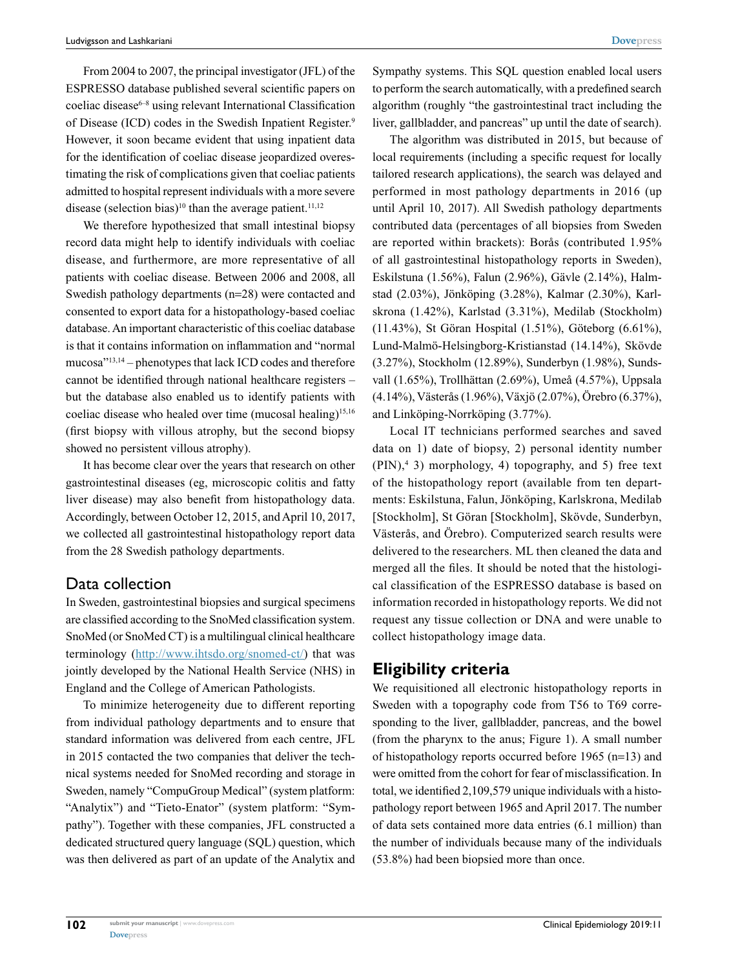From 2004 to 2007, the principal investigator (JFL) of the ESPRESSO database published several scientific papers on coeliac disease<sup>6–8</sup> using relevant International Classification of Disease (ICD) codes in the Swedish Inpatient Register.9 However, it soon became evident that using inpatient data for the identification of coeliac disease jeopardized overestimating the risk of complications given that coeliac patients admitted to hospital represent individuals with a more severe disease (selection bias)<sup>10</sup> than the average patient.<sup>11,12</sup>

We therefore hypothesized that small intestinal biopsy record data might help to identify individuals with coeliac disease, and furthermore, are more representative of all patients with coeliac disease. Between 2006 and 2008, all Swedish pathology departments (n=28) were contacted and consented to export data for a histopathology-based coeliac database. An important characteristic of this coeliac database is that it contains information on inflammation and "normal mucosa"13,14 – phenotypes that lack ICD codes and therefore cannot be identified through national healthcare registers – but the database also enabled us to identify patients with coeliac disease who healed over time (mucosal healing)<sup>15,16</sup> (first biopsy with villous atrophy, but the second biopsy showed no persistent villous atrophy).

It has become clear over the years that research on other gastrointestinal diseases (eg, microscopic colitis and fatty liver disease) may also benefit from histopathology data. Accordingly, between October 12, 2015, and April 10, 2017, we collected all gastrointestinal histopathology report data from the 28 Swedish pathology departments.

### Data collection

In Sweden, gastrointestinal biopsies and surgical specimens are classified according to the SnoMed classification system. SnoMed (or SnoMed CT) is a multilingual clinical healthcare terminology (<http://www.ihtsdo.org/snomed-ct/>) that was jointly developed by the National Health Service (NHS) in England and the College of American Pathologists.

To minimize heterogeneity due to different reporting from individual pathology departments and to ensure that standard information was delivered from each centre, JFL in 2015 contacted the two companies that deliver the technical systems needed for SnoMed recording and storage in Sweden, namely "CompuGroup Medical" (system platform: "Analytix") and "Tieto-Enator" (system platform: "Sympathy"). Together with these companies, JFL constructed a dedicated structured query language (SQL) question, which was then delivered as part of an update of the Analytix and Sympathy systems. This SQL question enabled local users to perform the search automatically, with a predefined search algorithm (roughly "the gastrointestinal tract including the liver, gallbladder, and pancreas" up until the date of search).

The algorithm was distributed in 2015, but because of local requirements (including a specific request for locally tailored research applications), the search was delayed and performed in most pathology departments in 2016 (up until April 10, 2017). All Swedish pathology departments contributed data (percentages of all biopsies from Sweden are reported within brackets): Borås (contributed 1.95% of all gastrointestinal histopathology reports in Sweden), Eskilstuna (1.56%), Falun (2.96%), Gävle (2.14%), Halmstad (2.03%), Jönköping (3.28%), Kalmar (2.30%), Karlskrona (1.42%), Karlstad (3.31%), Medilab (Stockholm) (11.43%), St Göran Hospital (1.51%), Göteborg (6.61%), Lund-Malmö-Helsingborg-Kristianstad (14.14%), Skövde (3.27%), Stockholm (12.89%), Sunderbyn (1.98%), Sundsvall (1.65%), Trollhättan (2.69%), Umeå (4.57%), Uppsala (4.14%), Västerås (1.96%), Växjö (2.07%), Örebro (6.37%), and Linköping-Norrköping (3.77%).

Local IT technicians performed searches and saved data on 1) date of biopsy, 2) personal identity number  $(PIN)^4$  3) morphology, 4) topography, and 5) free text of the histopathology report (available from ten departments: Eskilstuna, Falun, Jönköping, Karlskrona, Medilab [Stockholm], St Göran [Stockholm], Skövde, Sunderbyn, Västerås, and Örebro). Computerized search results were delivered to the researchers. ML then cleaned the data and merged all the files. It should be noted that the histological classification of the ESPRESSO database is based on information recorded in histopathology reports. We did not request any tissue collection or DNA and were unable to collect histopathology image data.

### **Eligibility criteria**

We requisitioned all electronic histopathology reports in Sweden with a topography code from T56 to T69 corresponding to the liver, gallbladder, pancreas, and the bowel (from the pharynx to the anus; Figure 1). A small number of histopathology reports occurred before 1965 (n=13) and were omitted from the cohort for fear of misclassification. In total, we identified 2,109,579 unique individuals with a histopathology report between 1965 and April 2017. The number of data sets contained more data entries (6.1 million) than the number of individuals because many of the individuals (53.8%) had been biopsied more than once.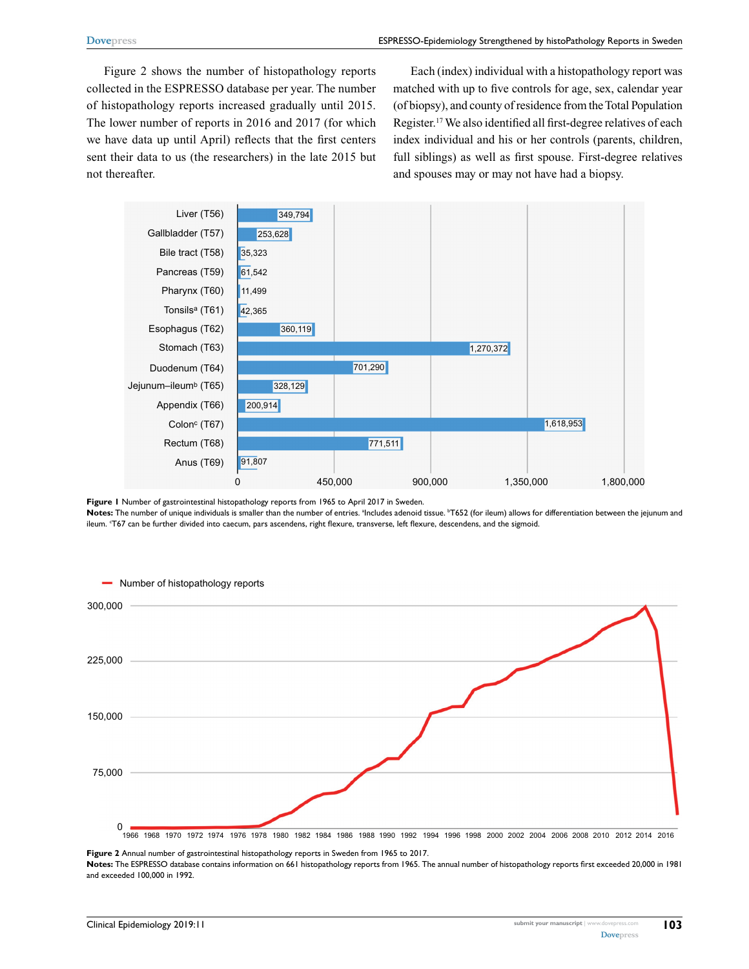Figure 2 shows the number of histopathology reports collected in the ESPRESSO database per year. The number of histopathology reports increased gradually until 2015. The lower number of reports in 2016 and 2017 (for which we have data up until April) reflects that the first centers sent their data to us (the researchers) in the late 2015 but not thereafter.

Each (index) individual with a histopathology report was matched with up to five controls for age, sex, calendar year (of biopsy), and county of residence from the Total Population Register.17 We also identified all first-degree relatives of each index individual and his or her controls (parents, children, full siblings) as well as first spouse. First-degree relatives and spouses may or may not have had a biopsy.



**Figure 1** Number of gastrointestinal histopathology reports from 1965 to April 2017 in Sweden.

Notes: The number of unique individuals is smaller than the number of entries. <sup>a</sup>Includes adenoid tissue. <sup>b</sup>T652 (for ileum) allows for differentiation between the jejunum and ileum. <T67 can be further divided into caecum, pars ascendens, right flexure, transverse, left flexure, descendens, and the sigmoid.



**Figure 2** Annual number of gastrointestinal histopathology reports in Sweden from 1965 to 2017. **Notes:** The ESPRESSO database contains information on 661 histopathology reports from 1965. The annual number of histopathology reports first exceeded 20,000 in 1981 and exceeded 100,000 in 1992.

**[Dovepress](www.dovepress.com)**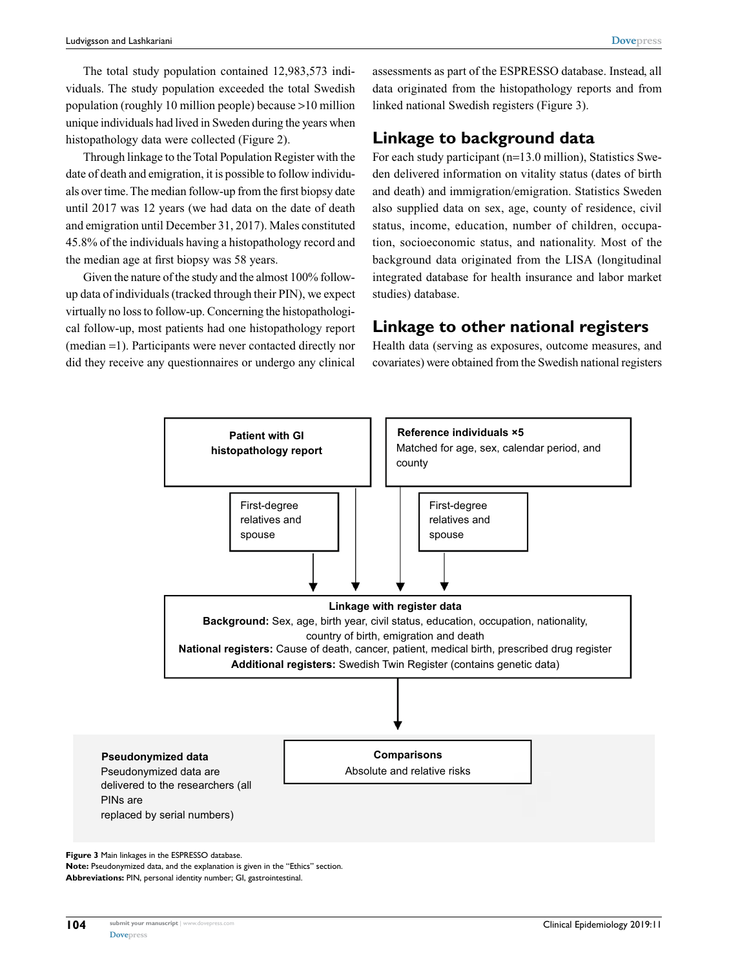The total study population contained 12,983,573 individuals. The study population exceeded the total Swedish population (roughly 10 million people) because >10 million unique individuals had lived in Sweden during the years when histopathology data were collected (Figure 2).

Through linkage to the Total Population Register with the date of death and emigration, it is possible to follow individuals over time. The median follow-up from the first biopsy date until 2017 was 12 years (we had data on the date of death and emigration until December 31, 2017). Males constituted 45.8% of the individuals having a histopathology record and the median age at first biopsy was 58 years.

Given the nature of the study and the almost 100% followup data of individuals (tracked through their PIN), we expect virtually no loss to follow-up. Concerning the histopathological follow-up, most patients had one histopathology report (median =1). Participants were never contacted directly nor did they receive any questionnaires or undergo any clinical

assessments as part of the ESPRESSO database. Instead, all data originated from the histopathology reports and from linked national Swedish registers (Figure 3).

### **Linkage to background data**

For each study participant (n=13.0 million), Statistics Sweden delivered information on vitality status (dates of birth and death) and immigration/emigration. Statistics Sweden also supplied data on sex, age, county of residence, civil status, income, education, number of children, occupation, socioeconomic status, and nationality. Most of the background data originated from the LISA (longitudinal integrated database for health insurance and labor market studies) database.

#### **Linkage to other national registers**

Health data (serving as exposures, outcome measures, and covariates) were obtained from the Swedish national registers



**Figure 3** Main linkages in the ESPRESSO database.

**Note:** Pseudonymized data, and the explanation is given in the "Ethics" section. **Abbreviations:** PIN, personal identity number; GI, gastrointestinal.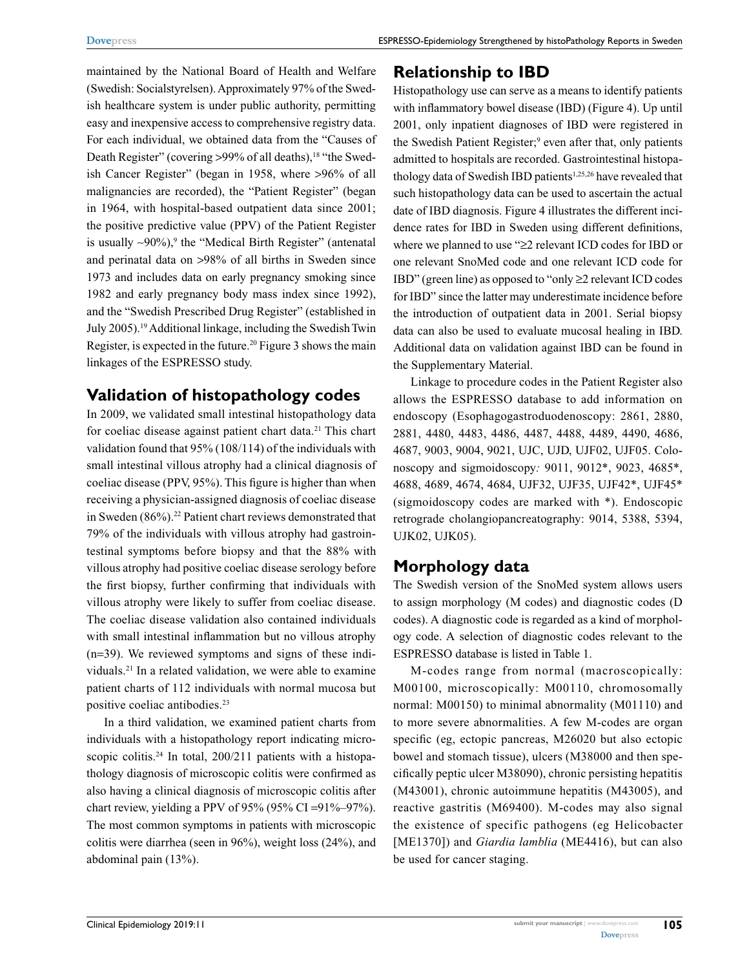maintained by the National Board of Health and Welfare (Swedish: Socialstyrelsen). Approximately 97% of the Swedish healthcare system is under public authority, permitting easy and inexpensive access to comprehensive registry data. For each individual, we obtained data from the "Causes of Death Register" (covering >99% of all deaths),<sup>18</sup> "the Swedish Cancer Register" (began in 1958, where >96% of all malignancies are recorded), the "Patient Register" (began in 1964, with hospital-based outpatient data since 2001; the positive predictive value (PPV) of the Patient Register is usually  $\sim 90\%$ ),<sup>9</sup> the "Medical Birth Register" (antenatal and perinatal data on >98% of all births in Sweden since 1973 and includes data on early pregnancy smoking since 1982 and early pregnancy body mass index since 1992), and the "Swedish Prescribed Drug Register" (established in July 2005).19 Additional linkage, including the Swedish Twin Register, is expected in the future.20 Figure 3 shows the main linkages of the ESPRESSO study.

# **Validation of histopathology codes**

In 2009, we validated small intestinal histopathology data for coeliac disease against patient chart data.<sup>21</sup> This chart validation found that 95% (108/114) of the individuals with small intestinal villous atrophy had a clinical diagnosis of coeliac disease (PPV, 95%). This figure is higher than when receiving a physician-assigned diagnosis of coeliac disease in Sweden  $(86\%)$ .<sup>22</sup> Patient chart reviews demonstrated that 79% of the individuals with villous atrophy had gastrointestinal symptoms before biopsy and that the 88% with villous atrophy had positive coeliac disease serology before the first biopsy, further confirming that individuals with villous atrophy were likely to suffer from coeliac disease. The coeliac disease validation also contained individuals with small intestinal inflammation but no villous atrophy (n=39). We reviewed symptoms and signs of these individuals.21 In a related validation, we were able to examine patient charts of 112 individuals with normal mucosa but positive coeliac antibodies.<sup>23</sup>

In a third validation, we examined patient charts from individuals with a histopathology report indicating microscopic colitis.<sup>24</sup> In total, 200/211 patients with a histopathology diagnosis of microscopic colitis were confirmed as also having a clinical diagnosis of microscopic colitis after chart review, yielding a PPV of 95% (95% CI =91%–97%). The most common symptoms in patients with microscopic colitis were diarrhea (seen in 96%), weight loss (24%), and abdominal pain (13%).

# **Relationship to IBD**

Histopathology use can serve as a means to identify patients with inflammatory bowel disease (IBD) (Figure 4). Up until 2001, only inpatient diagnoses of IBD were registered in the Swedish Patient Register;<sup>9</sup> even after that, only patients admitted to hospitals are recorded. Gastrointestinal histopathology data of Swedish IBD patients<sup>1,25,26</sup> have revealed that such histopathology data can be used to ascertain the actual date of IBD diagnosis. Figure 4 illustrates the different incidence rates for IBD in Sweden using different definitions, where we planned to use "≥2 relevant ICD codes for IBD or one relevant SnoMed code and one relevant ICD code for IBD" (green line) as opposed to "only ≥2 relevant ICD codes for IBD" since the latter may underestimate incidence before the introduction of outpatient data in 2001. Serial biopsy data can also be used to evaluate mucosal healing in IBD. Additional data on validation against IBD can be found in the Supplementary Material.

Linkage to procedure codes in the Patient Register also allows the ESPRESSO database to add information on endoscopy (Esophagogastroduodenoscopy: 2861, 2880, 2881, 4480, 4483, 4486, 4487, 4488, 4489, 4490, 4686, 4687, 9003, 9004, 9021, UJC, UJD, UJF02, UJF05. Colonoscopy and sigmoidoscopy*:* 9011, 9012\*, 9023, 4685\*, 4688, 4689, 4674, 4684, UJF32, UJF35, UJF42\*, UJF45\* (sigmoidoscopy codes are marked with \*). Endoscopic retrograde cholangiopancreatography: 9014, 5388, 5394, UJK02, UJK05).

# **Morphology data**

The Swedish version of the SnoMed system allows users to assign morphology (M codes) and diagnostic codes (D codes). A diagnostic code is regarded as a kind of morphology code. A selection of diagnostic codes relevant to the ESPRESSO database is listed in Table 1.

M-codes range from normal (macroscopically: M00100, microscopically: M00110, chromosomally normal: M00150) to minimal abnormality (M01110) and to more severe abnormalities. A few M-codes are organ specific (eg, ectopic pancreas, M26020 but also ectopic bowel and stomach tissue), ulcers (M38000 and then specifically peptic ulcer M38090), chronic persisting hepatitis (M43001), chronic autoimmune hepatitis (M43005), and reactive gastritis (M69400). M-codes may also signal the existence of specific pathogens (eg Helicobacter [ME1370]) and *Giardia lamblia* (ME4416), but can also be used for cancer staging.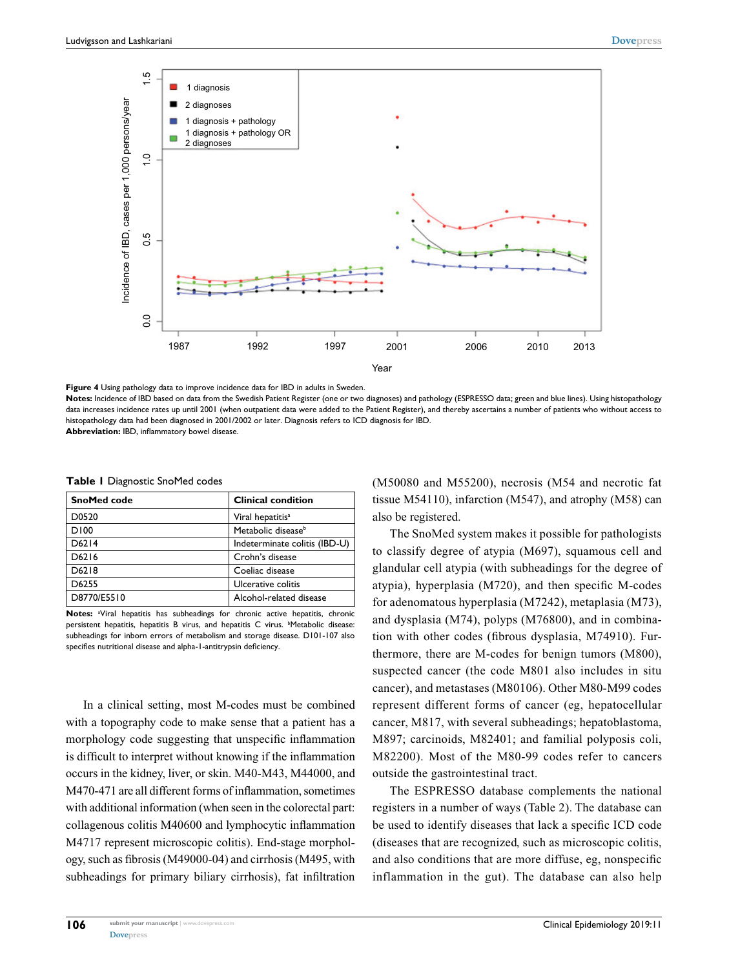

**Figure 4** Using pathology data to improve incidence data for IBD in adults in Sweden.

**Notes:** Incidence of IBD based on data from the Swedish Patient Register (one or two diagnoses) and pathology (ESPRESSO data; green and blue lines). Using histopathology data increases incidence rates up until 2001 (when outpatient data were added to the Patient Register), and thereby ascertains a number of patients who without access to histopathology data had been diagnosed in 2001/2002 or later. Diagnosis refers to ICD diagnosis for IBD. **Abbreviation:** IBD, inflammatory bowel disease.

| Table I Diagnostic SnoMed codes |  |
|---------------------------------|--|
|---------------------------------|--|

| <b>SnoMed code</b> | <b>Clinical condition</b>      |  |
|--------------------|--------------------------------|--|
| D0520              | Viral hepatitis <sup>a</sup>   |  |
| D100               | Metabolic disease <sup>b</sup> |  |
| D6214              | Indeterminate colitis (IBD-U)  |  |
| D6216              | Crohn's disease                |  |
| D6218              | Coeliac disease                |  |
| D6255              | Ulcerative colitis             |  |
| D8770/E5510        | Alcohol-related disease        |  |

**Notes:** <sup>a</sup> Viral hepatitis has subheadings for chronic active hepatitis, chronic persistent hepatitis, hepatitis B virus, and hepatitis C virus. <sup>b</sup>Metabolic disease: subheadings for inborn errors of metabolism and storage disease. D101-107 also specifies nutritional disease and alpha-1-antitrypsin deficiency.

In a clinical setting, most M-codes must be combined with a topography code to make sense that a patient has a morphology code suggesting that unspecific inflammation is difficult to interpret without knowing if the inflammation occurs in the kidney, liver, or skin. M40-M43, M44000, and M470-471 are all different forms of inflammation, sometimes with additional information (when seen in the colorectal part: collagenous colitis M40600 and lymphocytic inflammation M4717 represent microscopic colitis). End-stage morphology, such as fibrosis (M49000-04) and cirrhosis (M495, with subheadings for primary biliary cirrhosis), fat infiltration

Clinical Epidemiology 2019:11 **submit your manuscript** | <www.dovepress.com> **[Dovepress](www.dovepress.com)  106**

(M50080 and M55200), necrosis (M54 and necrotic fat tissue M54110), infarction (M547), and atrophy (M58) can also be registered.

The SnoMed system makes it possible for pathologists to classify degree of atypia (M697), squamous cell and glandular cell atypia (with subheadings for the degree of atypia), hyperplasia (M720), and then specific M-codes for adenomatous hyperplasia (M7242), metaplasia (M73), and dysplasia (M74), polyps (M76800), and in combination with other codes (fibrous dysplasia, M74910). Furthermore, there are M-codes for benign tumors (M800), suspected cancer (the code M801 also includes in situ cancer), and metastases (M80106). Other M80-M99 codes represent different forms of cancer (eg, hepatocellular cancer, M817, with several subheadings; hepatoblastoma, M897; carcinoids, M82401; and familial polyposis coli, M82200). Most of the M80-99 codes refer to cancers outside the gastrointestinal tract.

The ESPRESSO database complements the national registers in a number of ways (Table 2). The database can be used to identify diseases that lack a specific ICD code (diseases that are recognized, such as microscopic colitis, and also conditions that are more diffuse, eg, nonspecific inflammation in the gut). The database can also help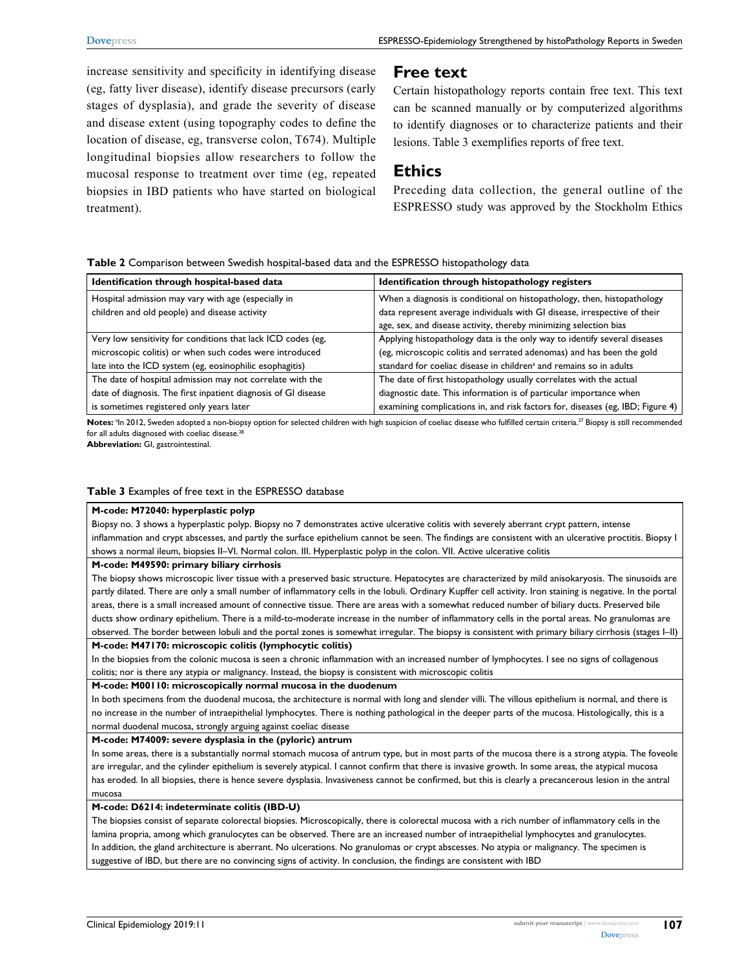increase sensitivity and specificity in identifying disease (eg, fatty liver disease), identify disease precursors (early stages of dysplasia), and grade the severity of disease and disease extent (using topography codes to define the location of disease, eg, transverse colon, T674). Multiple longitudinal biopsies allow researchers to follow the mucosal response to treatment over time (eg, repeated biopsies in IBD patients who have started on biological treatment).

#### **Free text**

Certain histopathology reports contain free text. This text can be scanned manually or by computerized algorithms to identify diagnoses or to characterize patients and their lesions. Table 3 exemplifies reports of free text.

### **Ethics**

Preceding data collection, the general outline of the ESPRESSO study was approved by the Stockholm Ethics

| Table 2 Comparison between Swedish hospital-based data and the ESPRESSO histopathology data |  |  |  |
|---------------------------------------------------------------------------------------------|--|--|--|
|---------------------------------------------------------------------------------------------|--|--|--|

| Identification through hospital-based data                     | Identification through histopathology registers                                |
|----------------------------------------------------------------|--------------------------------------------------------------------------------|
| Hospital admission may vary with age (especially in            | When a diagnosis is conditional on histopathology, then, histopathology        |
| children and old people) and disease activity                  | data represent average individuals with GI disease, irrespective of their      |
|                                                                | age, sex, and disease activity, thereby minimizing selection bias              |
| Very low sensitivity for conditions that lack ICD codes (eg,   | Applying histopathology data is the only way to identify several diseases      |
| microscopic colitis) or when such codes were introduced        | (eg, microscopic colitis and serrated adenomas) and has been the gold          |
| late into the ICD system (eg, eosinophilic esophagitis)        | standard for coeliac disease in children <sup>a</sup> and remains so in adults |
| The date of hospital admission may not correlate with the      | The date of first histopathology usually correlates with the actual            |
| date of diagnosis. The first inpatient diagnosis of GI disease | diagnostic date. This information is of particular importance when             |
| is sometimes registered only years later                       | examining complications in, and risk factors for, diseases (eg, IBD; Figure 4) |

Notes: <sup>a</sup>ln 2012, Sweden adopted a non-biopsy option for selected children with high suspicion of coeliac disease who fulfilled certain criteria.<sup>27</sup> Biopsy is still recommended for all adults diagnosed with coeliac disease.<sup>2</sup>

**Abbreviation:** GI, gastrointestinal.

#### **Table 3** Examples of free text in the ESPRESSO database

#### **M-code: M72040: hyperplastic polyp**

Biopsy no. 3 shows a hyperplastic polyp. Biopsy no 7 demonstrates active ulcerative colitis with severely aberrant crypt pattern, intense inflammation and crypt abscesses, and partly the surface epithelium cannot be seen. The findings are consistent with an ulcerative proctitis. Biopsy I shows a normal ileum, biopsies II–VI. Normal colon. III. Hyperplastic polyp in the colon. VII. Active ulcerative colitis

**M-code: M49590: primary biliary cirrhosis**

The biopsy shows microscopic liver tissue with a preserved basic structure. Hepatocytes are characterized by mild anisokaryosis. The sinusoids are partly dilated. There are only a small number of inflammatory cells in the lobuli. Ordinary Kupffer cell activity. Iron staining is negative. In the portal areas, there is a small increased amount of connective tissue. There are areas with a somewhat reduced number of biliary ducts. Preserved bile ducts show ordinary epithelium. There is a mild-to-moderate increase in the number of inflammatory cells in the portal areas. No granulomas are observed. The border between lobuli and the portal zones is somewhat irregular. The biopsy is consistent with primary biliary cirrhosis (stages I–II)

#### **M-code: M47170: microscopic colitis (lymphocytic colitis)**

In the biopsies from the colonic mucosa is seen a chronic inflammation with an increased number of lymphocytes. I see no signs of collagenous colitis; nor is there any atypia or malignancy. Instead, the biopsy is consistent with microscopic colitis

#### **M-code: M00110: microscopically normal mucosa in the duodenum**

In both specimens from the duodenal mucosa, the architecture is normal with long and slender villi. The villous epithelium is normal, and there is no increase in the number of intraepithelial lymphocytes. There is nothing pathological in the deeper parts of the mucosa. Histologically, this is a normal duodenal mucosa, strongly arguing against coeliac disease

#### **M-code: M74009: severe dysplasia in the (pyloric) antrum**

In some areas, there is a substantially normal stomach mucosa of antrum type, but in most parts of the mucosa there is a strong atypia. The foveole are irregular, and the cylinder epithelium is severely atypical. I cannot confirm that there is invasive growth. In some areas, the atypical mucosa has eroded. In all biopsies, there is hence severe dysplasia. Invasiveness cannot be confirmed, but this is clearly a precancerous lesion in the antral mucosa

#### **M-code: D6214: indeterminate colitis (IBD-U)**

The biopsies consist of separate colorectal biopsies. Microscopically, there is colorectal mucosa with a rich number of inflammatory cells in the lamina propria, among which granulocytes can be observed. There are an increased number of intraepithelial lymphocytes and granulocytes. In addition, the gland architecture is aberrant. No ulcerations. No granulomas or crypt abscesses. No atypia or malignancy. The specimen is suggestive of IBD, but there are no convincing signs of activity. In conclusion, the findings are consistent with IBD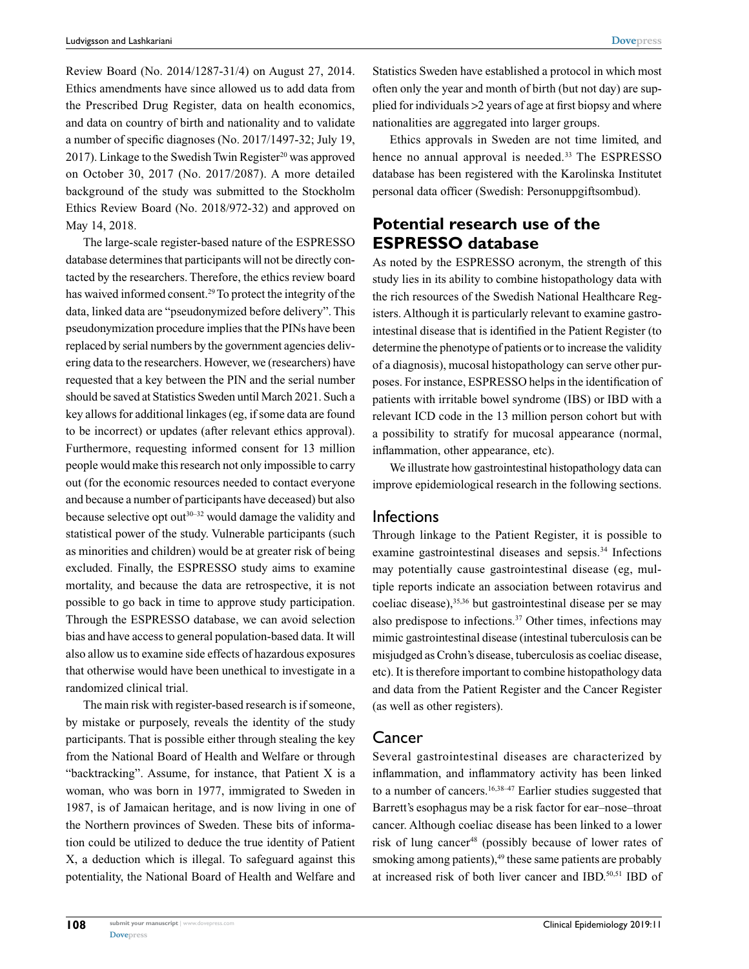Review Board (No. 2014/1287-31/4) on August 27, 2014. Ethics amendments have since allowed us to add data from the Prescribed Drug Register, data on health economics, and data on country of birth and nationality and to validate a number of specific diagnoses (No. 2017/1497-32; July 19, 2017). Linkage to the Swedish Twin Register<sup>20</sup> was approved on October 30, 2017 (No. 2017/2087). A more detailed background of the study was submitted to the Stockholm Ethics Review Board (No. 2018/972-32) and approved on May 14, 2018.

The large-scale register-based nature of the ESPRESSO database determines that participants will not be directly contacted by the researchers. Therefore, the ethics review board has waived informed consent.<sup>29</sup> To protect the integrity of the data, linked data are "pseudonymized before delivery". This pseudonymization procedure implies that the PINs have been replaced by serial numbers by the government agencies delivering data to the researchers. However, we (researchers) have requested that a key between the PIN and the serial number should be saved at Statistics Sweden until March 2021. Such a key allows for additional linkages (eg, if some data are found to be incorrect) or updates (after relevant ethics approval). Furthermore, requesting informed consent for 13 million people would make this research not only impossible to carry out (for the economic resources needed to contact everyone and because a number of participants have deceased) but also because selective opt out<sup>30–32</sup> would damage the validity and statistical power of the study. Vulnerable participants (such as minorities and children) would be at greater risk of being excluded. Finally, the ESPRESSO study aims to examine mortality, and because the data are retrospective, it is not possible to go back in time to approve study participation. Through the ESPRESSO database, we can avoid selection bias and have access to general population-based data. It will also allow us to examine side effects of hazardous exposures that otherwise would have been unethical to investigate in a randomized clinical trial.

The main risk with register-based research is if someone, by mistake or purposely, reveals the identity of the study participants. That is possible either through stealing the key from the National Board of Health and Welfare or through "backtracking". Assume, for instance, that Patient X is a woman, who was born in 1977, immigrated to Sweden in 1987, is of Jamaican heritage, and is now living in one of the Northern provinces of Sweden. These bits of information could be utilized to deduce the true identity of Patient X, a deduction which is illegal. To safeguard against this potentiality, the National Board of Health and Welfare and

Statistics Sweden have established a protocol in which most often only the year and month of birth (but not day) are supplied for individuals >2 years of age at first biopsy and where nationalities are aggregated into larger groups.

Ethics approvals in Sweden are not time limited, and hence no annual approval is needed.<sup>33</sup> The ESPRESSO database has been registered with the Karolinska Institutet personal data officer (Swedish: Personuppgiftsombud).

### **Potential research use of the ESPRESSO database**

As noted by the ESPRESSO acronym, the strength of this study lies in its ability to combine histopathology data with the rich resources of the Swedish National Healthcare Registers. Although it is particularly relevant to examine gastrointestinal disease that is identified in the Patient Register (to determine the phenotype of patients or to increase the validity of a diagnosis), mucosal histopathology can serve other purposes. For instance, ESPRESSO helps in the identification of patients with irritable bowel syndrome (IBS) or IBD with a relevant ICD code in the 13 million person cohort but with a possibility to stratify for mucosal appearance (normal, inflammation, other appearance, etc).

We illustrate how gastrointestinal histopathology data can improve epidemiological research in the following sections.

#### Infections

Through linkage to the Patient Register, it is possible to examine gastrointestinal diseases and sepsis.<sup>34</sup> Infections may potentially cause gastrointestinal disease (eg, multiple reports indicate an association between rotavirus and coeliac disease),35,36 but gastrointestinal disease per se may also predispose to infections.37 Other times, infections may mimic gastrointestinal disease (intestinal tuberculosis can be misjudged as Crohn's disease, tuberculosis as coeliac disease, etc). It is therefore important to combine histopathology data and data from the Patient Register and the Cancer Register (as well as other registers).

#### Cancer

Several gastrointestinal diseases are characterized by inflammation, and inflammatory activity has been linked to a number of cancers.<sup>16,38–47</sup> Earlier studies suggested that Barrett's esophagus may be a risk factor for ear–nose–throat cancer. Although coeliac disease has been linked to a lower risk of lung cancer<sup>48</sup> (possibly because of lower rates of smoking among patients),<sup>49</sup> these same patients are probably at increased risk of both liver cancer and IBD.50,51 IBD of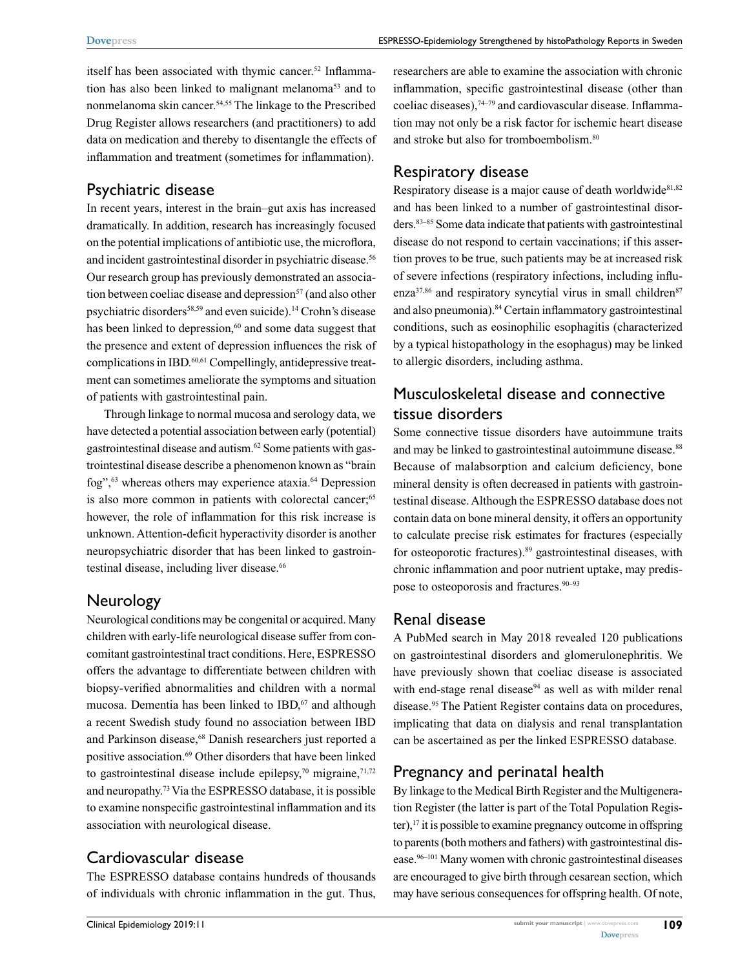itself has been associated with thymic cancer.<sup>52</sup> Inflammation has also been linked to malignant melanoma<sup>53</sup> and to nonmelanoma skin cancer.54,55 The linkage to the Prescribed Drug Register allows researchers (and practitioners) to add data on medication and thereby to disentangle the effects of inflammation and treatment (sometimes for inflammation).

# Psychiatric disease

In recent years, interest in the brain–gut axis has increased dramatically. In addition, research has increasingly focused on the potential implications of antibiotic use, the microflora, and incident gastrointestinal disorder in psychiatric disease.<sup>56</sup> Our research group has previously demonstrated an association between coeliac disease and depression<sup>57</sup> (and also other psychiatric disorders<sup>58,59</sup> and even suicide).<sup>14</sup> Crohn's disease has been linked to depression,<sup>60</sup> and some data suggest that the presence and extent of depression influences the risk of complications in IBD.<sup>60,61</sup> Compellingly, antidepressive treatment can sometimes ameliorate the symptoms and situation of patients with gastrointestinal pain.

Through linkage to normal mucosa and serology data, we have detected a potential association between early (potential) gastrointestinal disease and autism.62 Some patients with gastrointestinal disease describe a phenomenon known as "brain fog",<sup>63</sup> whereas others may experience ataxia.<sup>64</sup> Depression is also more common in patients with colorectal cancer;<sup>65</sup> however, the role of inflammation for this risk increase is unknown. Attention-deficit hyperactivity disorder is another neuropsychiatric disorder that has been linked to gastrointestinal disease, including liver disease.<sup>66</sup>

# Neurology

Neurological conditions may be congenital or acquired. Many children with early-life neurological disease suffer from concomitant gastrointestinal tract conditions. Here, ESPRESSO offers the advantage to differentiate between children with biopsy-verified abnormalities and children with a normal mucosa. Dementia has been linked to IBD,<sup>67</sup> and although a recent Swedish study found no association between IBD and Parkinson disease,<sup>68</sup> Danish researchers just reported a positive association.69 Other disorders that have been linked to gastrointestinal disease include epilepsy,<sup>70</sup> migraine, $71,72$ and neuropathy.73 Via the ESPRESSO database, it is possible to examine nonspecific gastrointestinal inflammation and its association with neurological disease.

# Cardiovascular disease

The ESPRESSO database contains hundreds of thousands of individuals with chronic inflammation in the gut. Thus,

researchers are able to examine the association with chronic inflammation, specific gastrointestinal disease (other than coeliac diseases), $74-79$  and cardiovascular disease. Inflammation may not only be a risk factor for ischemic heart disease and stroke but also for tromboembolism.<sup>80</sup>

# Respiratory disease

Respiratory disease is a major cause of death worldwide $81,82$ and has been linked to a number of gastrointestinal disorders.83–85 Some data indicate that patients with gastrointestinal disease do not respond to certain vaccinations; if this assertion proves to be true, such patients may be at increased risk of severe infections (respiratory infections, including influenza $37,86$  and respiratory syncytial virus in small children $87$ and also pneumonia).84 Certain inflammatory gastrointestinal conditions, such as eosinophilic esophagitis (characterized by a typical histopathology in the esophagus) may be linked to allergic disorders, including asthma.

### Musculoskeletal disease and connective tissue disorders

Some connective tissue disorders have autoimmune traits and may be linked to gastrointestinal autoimmune disease.<sup>88</sup> Because of malabsorption and calcium deficiency, bone mineral density is often decreased in patients with gastrointestinal disease. Although the ESPRESSO database does not contain data on bone mineral density, it offers an opportunity to calculate precise risk estimates for fractures (especially for osteoporotic fractures).<sup>89</sup> gastrointestinal diseases, with chronic inflammation and poor nutrient uptake, may predispose to osteoporosis and fractures.<sup>90–93</sup>

### Renal disease

A PubMed search in May 2018 revealed 120 publications on gastrointestinal disorders and glomerulonephritis. We have previously shown that coeliac disease is associated with end-stage renal disease<sup>94</sup> as well as with milder renal disease.<sup>95</sup> The Patient Register contains data on procedures, implicating that data on dialysis and renal transplantation can be ascertained as per the linked ESPRESSO database.

# Pregnancy and perinatal health

By linkage to the Medical Birth Register and the Multigeneration Register (the latter is part of the Total Population Register), $17$  it is possible to examine pregnancy outcome in offspring to parents (both mothers and fathers) with gastrointestinal disease.96–101 Many women with chronic gastrointestinal diseases are encouraged to give birth through cesarean section, which may have serious consequences for offspring health. Of note,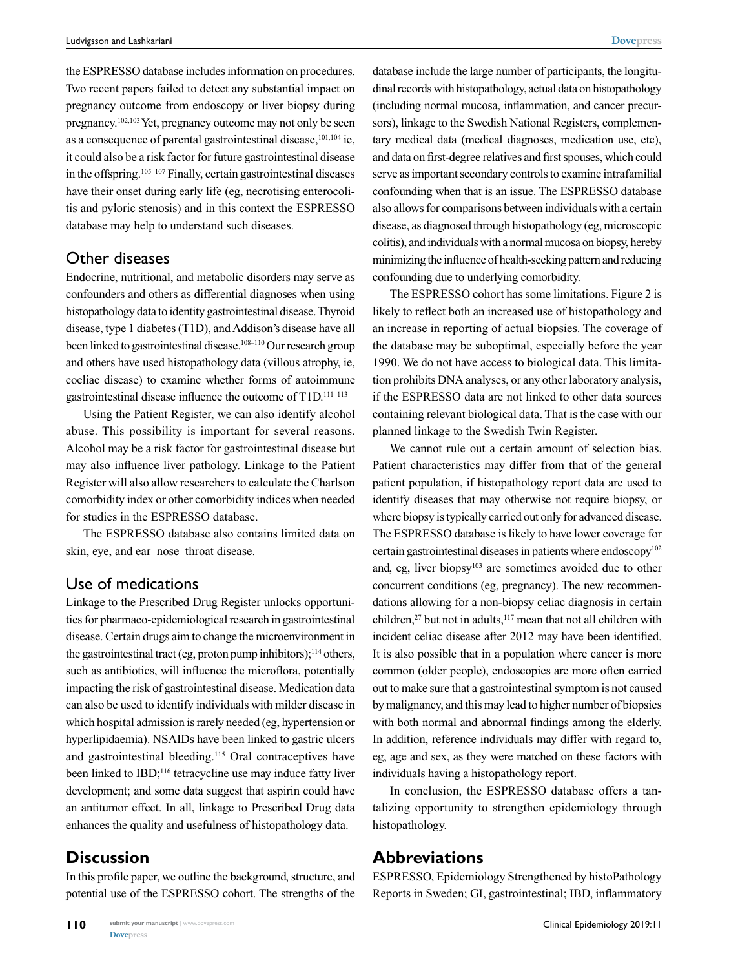the ESPRESSO database includes information on procedures. Two recent papers failed to detect any substantial impact on pregnancy outcome from endoscopy or liver biopsy during pregnancy.102,103 Yet, pregnancy outcome may not only be seen as a consequence of parental gastrointestinal disease,<sup>101,104</sup> ie, it could also be a risk factor for future gastrointestinal disease in the offspring.105–107 Finally, certain gastrointestinal diseases have their onset during early life (eg, necrotising enterocolitis and pyloric stenosis) and in this context the ESPRESSO database may help to understand such diseases.

### Other diseases

Endocrine, nutritional, and metabolic disorders may serve as confounders and others as differential diagnoses when using histopathology data to identity gastrointestinal disease. Thyroid disease, type 1 diabetes (T1D), and Addison's disease have all been linked to gastrointestinal disease.<sup>108–110</sup> Our research group and others have used histopathology data (villous atrophy, ie, coeliac disease) to examine whether forms of autoimmune gastrointestinal disease influence the outcome of T1D.111–113

Using the Patient Register, we can also identify alcohol abuse. This possibility is important for several reasons. Alcohol may be a risk factor for gastrointestinal disease but may also influence liver pathology. Linkage to the Patient Register will also allow researchers to calculate the Charlson comorbidity index or other comorbidity indices when needed for studies in the ESPRESSO database.

The ESPRESSO database also contains limited data on skin, eye, and ear–nose–throat disease.

### Use of medications

Linkage to the Prescribed Drug Register unlocks opportunities for pharmaco-epidemiological research in gastrointestinal disease. Certain drugs aim to change the microenvironment in the gastrointestinal tract (eg, proton pump inhibitors); $114$  others, such as antibiotics, will influence the microflora, potentially impacting the risk of gastrointestinal disease. Medication data can also be used to identify individuals with milder disease in which hospital admission is rarely needed (eg, hypertension or hyperlipidaemia). NSAIDs have been linked to gastric ulcers and gastrointestinal bleeding.<sup>115</sup> Oral contraceptives have been linked to IBD;<sup>116</sup> tetracycline use may induce fatty liver development; and some data suggest that aspirin could have an antitumor effect. In all, linkage to Prescribed Drug data enhances the quality and usefulness of histopathology data.

### **Discussion**

In this profile paper, we outline the background, structure, and potential use of the ESPRESSO cohort. The strengths of the

database include the large number of participants, the longitudinal records with histopathology, actual data on histopathology (including normal mucosa, inflammation, and cancer precursors), linkage to the Swedish National Registers, complementary medical data (medical diagnoses, medication use, etc), and data on first-degree relatives and first spouses, which could serve as important secondary controls to examine intrafamilial confounding when that is an issue. The ESPRESSO database also allows for comparisons between individuals with a certain disease, as diagnosed through histopathology (eg, microscopic colitis), and individuals with a normal mucosa on biopsy, hereby minimizing the influence of health-seeking pattern and reducing confounding due to underlying comorbidity.

The ESPRESSO cohort has some limitations. Figure 2 is likely to reflect both an increased use of histopathology and an increase in reporting of actual biopsies. The coverage of the database may be suboptimal, especially before the year 1990. We do not have access to biological data. This limitation prohibits DNA analyses, or any other laboratory analysis, if the ESPRESSO data are not linked to other data sources containing relevant biological data. That is the case with our planned linkage to the Swedish Twin Register.

We cannot rule out a certain amount of selection bias. Patient characteristics may differ from that of the general patient population, if histopathology report data are used to identify diseases that may otherwise not require biopsy, or where biopsy is typically carried out only for advanced disease. The ESPRESSO database is likely to have lower coverage for certain gastrointestinal diseases in patients where endoscopy<sup>102</sup> and, eg, liver biopsy103 are sometimes avoided due to other concurrent conditions (eg, pregnancy). The new recommendations allowing for a non-biopsy celiac diagnosis in certain children,<sup>27</sup> but not in adults,<sup>117</sup> mean that not all children with incident celiac disease after 2012 may have been identified. It is also possible that in a population where cancer is more common (older people), endoscopies are more often carried out to make sure that a gastrointestinal symptom is not caused by malignancy, and this may lead to higher number of biopsies with both normal and abnormal findings among the elderly. In addition, reference individuals may differ with regard to, eg, age and sex, as they were matched on these factors with individuals having a histopathology report.

In conclusion, the ESPRESSO database offers a tantalizing opportunity to strengthen epidemiology through histopathology.

### **Abbreviations**

ESPRESSO, Epidemiology Strengthened by histoPathology Reports in Sweden; GI, gastrointestinal; IBD, inflammatory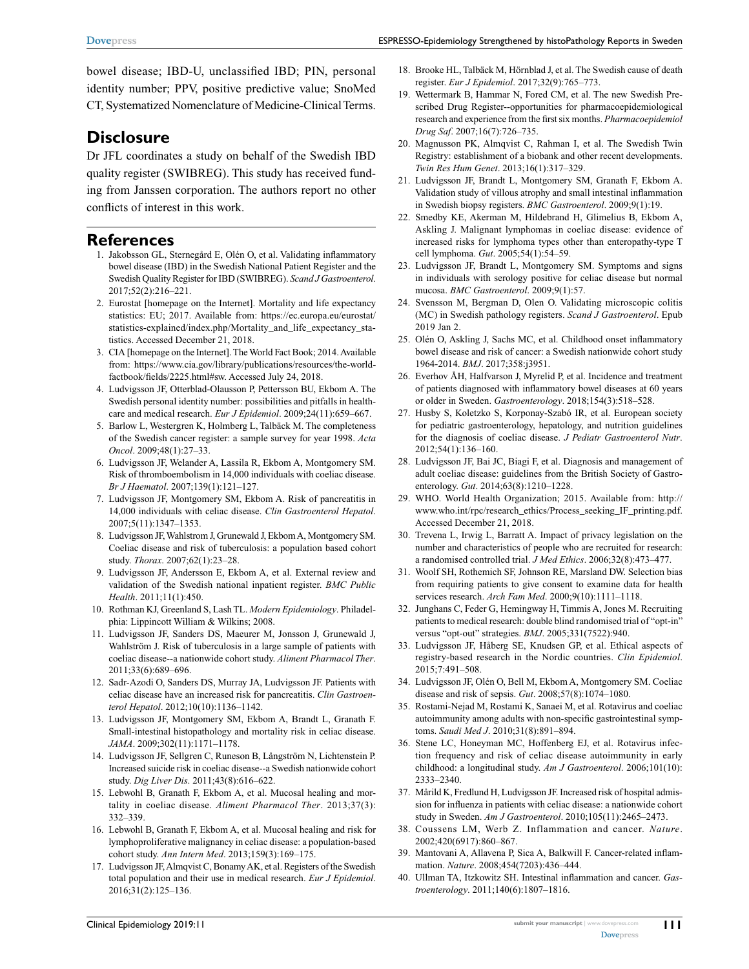bowel disease; IBD-U, unclassified IBD; PIN, personal identity number; PPV, positive predictive value; SnoMed CT, Systematized Nomenclature of Medicine-Clinical Terms.

### **Disclosure**

Dr JFL coordinates a study on behalf of the Swedish IBD quality register (SWIBREG). This study has received funding from Janssen corporation. The authors report no other conflicts of interest in this work.

#### **References**

- 1. Jakobsson GL, Sternegård E, Olén O, et al. Validating inflammatory bowel disease (IBD) in the Swedish National Patient Register and the Swedish Quality Register for IBD (SWIBREG). *Scand J Gastroenterol*. 2017;52(2):216–221.
- 2. Eurostat [homepage on the Internet]. Mortality and life expectancy statistics: EU; 2017. Available from: [https://ec.europa.eu/eurostat/](https://ec.europa.eu/eurostat/statistics-explained/index.php/Mortality_and_life_expectancy_statistics) [statistics-explained/index.php/Mortality\\_and\\_life\\_expectancy\\_sta](https://ec.europa.eu/eurostat/statistics-explained/index.php/Mortality_and_life_expectancy_statistics)[tistics.](https://ec.europa.eu/eurostat/statistics-explained/index.php/Mortality_and_life_expectancy_statistics) Accessed December 21, 2018.
- 3. CIA [homepage on the Internet]. The World Fact Book; 2014. Available from: [https://www.cia.gov/library/publications/resources/the-world](https://www.cia.gov/library/publications/resources/the-world-factbook/fields/2225.html#sw)[factbook/fields/2225.html#sw](https://www.cia.gov/library/publications/resources/the-world-factbook/fields/2225.html#sw). Accessed July 24, 2018.
- 4. Ludvigsson JF, Otterblad-Olausson P, Pettersson BU, Ekbom A. The Swedish personal identity number: possibilities and pitfalls in healthcare and medical research. *Eur J Epidemiol*. 2009;24(11):659–667.
- 5. Barlow L, Westergren K, Holmberg L, Talbäck M. The completeness of the Swedish cancer register: a sample survey for year 1998. *Acta Oncol*. 2009;48(1):27–33.
- 6. Ludvigsson JF, Welander A, Lassila R, Ekbom A, Montgomery SM. Risk of thromboembolism in 14,000 individuals with coeliac disease. *Br J Haematol*. 2007;139(1):121–127.
- 7. Ludvigsson JF, Montgomery SM, Ekbom A. Risk of pancreatitis in 14,000 individuals with celiac disease. *Clin Gastroenterol Hepatol*. 2007;5(11):1347–1353.
- 8. Ludvigsson JF, Wahlstrom J, Grunewald J, Ekbom A, Montgomery SM. Coeliac disease and risk of tuberculosis: a population based cohort study. *Thorax*. 2007;62(1):23–28.
- 9. Ludvigsson JF, Andersson E, Ekbom A, et al. External review and validation of the Swedish national inpatient register. *BMC Public Health*. 2011;11(1):450.
- 10. Rothman KJ, Greenland S, Lash TL. *Modern Epidemiology*. Philadelphia: Lippincott William & Wilkins; 2008.
- 11. Ludvigsson JF, Sanders DS, Maeurer M, Jonsson J, Grunewald J, Wahlström J. Risk of tuberculosis in a large sample of patients with coeliac disease--a nationwide cohort study. *Aliment Pharmacol Ther*. 2011;33(6):689–696.
- 12. Sadr-Azodi O, Sanders DS, Murray JA, Ludvigsson JF. Patients with celiac disease have an increased risk for pancreatitis. *Clin Gastroenterol Hepatol*. 2012;10(10):1136–1142.
- 13. Ludvigsson JF, Montgomery SM, Ekbom A, Brandt L, Granath F. Small-intestinal histopathology and mortality risk in celiac disease. *JAMA*. 2009;302(11):1171–1178.
- 14. Ludvigsson JF, Sellgren C, Runeson B, Långström N, Lichtenstein P. Increased suicide risk in coeliac disease--a Swedish nationwide cohort study. *Dig Liver Dis*. 2011;43(8):616–622.
- 15. Lebwohl B, Granath F, Ekbom A, et al. Mucosal healing and mortality in coeliac disease. *Aliment Pharmacol Ther*. 2013;37(3): 332–339.
- 16. Lebwohl B, Granath F, Ekbom A, et al. Mucosal healing and risk for lymphoproliferative malignancy in celiac disease: a population-based cohort study. *Ann Intern Med*. 2013;159(3):169–175.
- 17. Ludvigsson JF, Almqvist C, Bonamy AK, et al. Registers of the Swedish total population and their use in medical research. *Eur J Epidemiol*. 2016;31(2):125–136.
- 18. Brooke HL, Talbäck M, Hörnblad J, et al. The Swedish cause of death register. *Eur J Epidemiol*. 2017;32(9):765–773.
- 19. Wettermark B, Hammar N, Fored CM, et al. The new Swedish Prescribed Drug Register--opportunities for pharmacoepidemiological research and experience from the first six months. *Pharmacoepidemiol Drug Saf*. 2007;16(7):726–735.
- 20. Magnusson PK, Almqvist C, Rahman I, et al. The Swedish Twin Registry: establishment of a biobank and other recent developments. *Twin Res Hum Genet*. 2013;16(1):317–329.
- 21. Ludvigsson JF, Brandt L, Montgomery SM, Granath F, Ekbom A. Validation study of villous atrophy and small intestinal inflammation in Swedish biopsy registers. *BMC Gastroenterol*. 2009;9(1):19.
- 22. Smedby KE, Akerman M, Hildebrand H, Glimelius B, Ekbom A, Askling J. Malignant lymphomas in coeliac disease: evidence of increased risks for lymphoma types other than enteropathy-type T cell lymphoma. *Gut*. 2005;54(1):54–59.
- 23. Ludvigsson JF, Brandt L, Montgomery SM. Symptoms and signs in individuals with serology positive for celiac disease but normal mucosa. *BMC Gastroenterol*. 2009;9(1):57.
- 24. Svensson M, Bergman D, Olen O. Validating microscopic colitis (MC) in Swedish pathology registers. *Scand J Gastroenterol*. Epub 2019 Jan 2.
- 25. Olén O, Askling J, Sachs MC, et al. Childhood onset inflammatory bowel disease and risk of cancer: a Swedish nationwide cohort study 1964-2014. *BMJ*. 2017;358:j3951.
- 26. Everhov ÅH, Halfvarson J, Myrelid P, et al. Incidence and treatment of patients diagnosed with inflammatory bowel diseases at 60 years or older in Sweden. *Gastroenterology*. 2018;154(3):518–528.
- 27. Husby S, Koletzko S, Korponay-Szabó IR, et al. European society for pediatric gastroenterology, hepatology, and nutrition guidelines for the diagnosis of coeliac disease. *J Pediatr Gastroenterol Nutr*. 2012;54(1):136–160.
- 28. Ludvigsson JF, Bai JC, Biagi F, et al. Diagnosis and management of adult coeliac disease: guidelines from the British Society of Gastroenterology. *Gut*. 2014;63(8):1210–1228.
- 29. WHO. World Health Organization; 2015. Available from: [http://](http://www.who.int/rpc/research_ethics/Process_seeking_IF_printing.pdf) [www.who.int/rpc/research\\_ethics/Process\\_seeking\\_IF\\_printing.pdf](http://www.who.int/rpc/research_ethics/Process_seeking_IF_printing.pdf). Accessed December 21, 2018.
- 30. Trevena L, Irwig L, Barratt A. Impact of privacy legislation on the number and characteristics of people who are recruited for research: a randomised controlled trial. *J Med Ethics*. 2006;32(8):473–477.
- 31. Woolf SH, Rothemich SF, Johnson RE, Marsland DW. Selection bias from requiring patients to give consent to examine data for health services research. *Arch Fam Med*. 2000;9(10):1111–1118.
- 32. Junghans C, Feder G, Hemingway H, Timmis A, Jones M. Recruiting patients to medical research: double blind randomised trial of "opt-in" versus "opt-out" strategies. *BMJ*. 2005;331(7522):940.
- 33. Ludvigsson JF, Håberg SE, Knudsen GP, et al. Ethical aspects of registry-based research in the Nordic countries. *Clin Epidemiol*. 2015;7:491–508.
- 34. Ludvigsson JF, Olén O, Bell M, Ekbom A, Montgomery SM. Coeliac disease and risk of sepsis. *Gut*. 2008;57(8):1074–1080.
- 35. Rostami-Nejad M, Rostami K, Sanaei M, et al. Rotavirus and coeliac autoimmunity among adults with non-specific gastrointestinal symptoms. *Saudi Med J*. 2010;31(8):891–894.
- 36. Stene LC, Honeyman MC, Hoffenberg EJ, et al. Rotavirus infection frequency and risk of celiac disease autoimmunity in early childhood: a longitudinal study. *Am J Gastroenterol*. 2006;101(10): 2333–2340.
- 37. Mårild K, Fredlund H, Ludvigsson JF. Increased risk of hospital admission for influenza in patients with celiac disease: a nationwide cohort study in Sweden. *Am J Gastroenterol*. 2010;105(11):2465–2473.
- 38. Coussens LM, Werb Z. Inflammation and cancer. *Nature*. 2002;420(6917):860–867.
- 39. Mantovani A, Allavena P, Sica A, Balkwill F. Cancer-related inflammation. *Nature*. 2008;454(7203):436–444.
- 40. Ullman TA, Itzkowitz SH. Intestinal inflammation and cancer. *Gastroenterology*. 2011;140(6):1807–1816.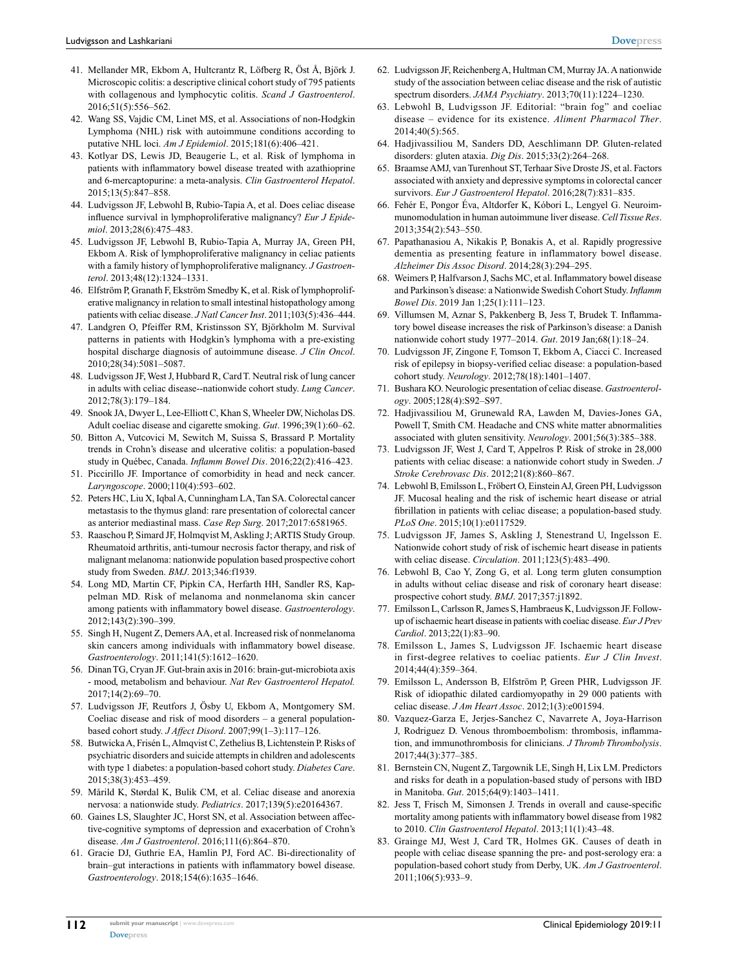- 41. Mellander MR, Ekbom A, Hultcrantz R, Löfberg R, Öst Å, Björk J. Microscopic colitis: a descriptive clinical cohort study of 795 patients with collagenous and lymphocytic colitis. *Scand J Gastroenterol*. 2016;51(5):556–562.
- 42. Wang SS, Vajdic CM, Linet MS, et al. Associations of non-Hodgkin Lymphoma (NHL) risk with autoimmune conditions according to putative NHL loci. *Am J Epidemiol*. 2015;181(6):406–421.
- 43. Kotlyar DS, Lewis JD, Beaugerie L, et al. Risk of lymphoma in patients with inflammatory bowel disease treated with azathioprine and 6-mercaptopurine: a meta-analysis. *Clin Gastroenterol Hepatol*. 2015;13(5):847–858.
- 44. Ludvigsson JF, Lebwohl B, Rubio-Tapia A, et al. Does celiac disease influence survival in lymphoproliferative malignancy? *Eur J Epidemiol*. 2013;28(6):475–483.
- 45. Ludvigsson JF, Lebwohl B, Rubio-Tapia A, Murray JA, Green PH, Ekbom A. Risk of lymphoproliferative malignancy in celiac patients with a family history of lymphoproliferative malignancy. *J Gastroenterol*. 2013;48(12):1324–1331.
- 46. Elfström P, Granath F, Ekström Smedby K, et al. Risk of lymphoproliferative malignancy in relation to small intestinal histopathology among patients with celiac disease. *J Natl Cancer Inst*. 2011;103(5):436–444.
- 47. Landgren O, Pfeiffer RM, Kristinsson SY, Björkholm M. Survival patterns in patients with Hodgkin's lymphoma with a pre-existing hospital discharge diagnosis of autoimmune disease. *J Clin Oncol*. 2010;28(34):5081–5087.
- 48. Ludvigsson JF, West J, Hubbard R, Card T. Neutral risk of lung cancer in adults with celiac disease--nationwide cohort study. *Lung Cancer*. 2012;78(3):179–184.
- 49. Snook JA, Dwyer L, Lee-Elliott C, Khan S, Wheeler DW, Nicholas DS. Adult coeliac disease and cigarette smoking. *Gut*. 1996;39(1):60–62.
- 50. Bitton A, Vutcovici M, Sewitch M, Suissa S, Brassard P. Mortality trends in Crohn's disease and ulcerative colitis: a population-based study in Québec, Canada. *Inflamm Bowel Dis*. 2016;22(2):416–423.
- 51. Piccirillo JF. Importance of comorbidity in head and neck cancer. *Laryngoscope*. 2000;110(4):593–602.
- 52. Peters HC, Liu X, Iqbal A, Cunningham LA, Tan SA. Colorectal cancer metastasis to the thymus gland: rare presentation of colorectal cancer as anterior mediastinal mass. *Case Rep Surg*. 2017;2017:6581965.
- 53. Raaschou P, Simard JF, Holmqvist M, Askling J; ARTIS Study Group. Rheumatoid arthritis, anti-tumour necrosis factor therapy, and risk of malignant melanoma: nationwide population based prospective cohort study from Sweden. *BMJ*. 2013;346:f1939.
- 54. Long MD, Martin CF, Pipkin CA, Herfarth HH, Sandler RS, Kappelman MD. Risk of melanoma and nonmelanoma skin cancer among patients with inflammatory bowel disease. *Gastroenterology*. 2012;143(2):390–399.
- 55. Singh H, Nugent Z, Demers AA, et al. Increased risk of nonmelanoma skin cancers among individuals with inflammatory bowel disease. *Gastroenterology*. 2011;141(5):1612–1620.
- 56. Dinan TG, Cryan JF. Gut-brain axis in 2016: brain-gut-microbiota axis - mood, metabolism and behaviour. *Nat Rev Gastroenterol Hepatol.* 2017;14(2):69–70.
- 57. Ludvigsson JF, Reutfors J, Ösby U, Ekbom A, Montgomery SM. Coeliac disease and risk of mood disorders – a general populationbased cohort study. *J Affect Disord*. 2007;99(1–3):117–126.
- 58. Butwicka A, Frisén L, Almqvist C, Zethelius B, Lichtenstein P. Risks of psychiatric disorders and suicide attempts in children and adolescents with type 1 diabetes: a population-based cohort study. *Diabetes Care*. 2015;38(3):453–459.
- 59. Mårild K, Størdal K, Bulik CM, et al. Celiac disease and anorexia nervosa: a nationwide study. *Pediatrics*. 2017;139(5):e20164367.
- 60. Gaines LS, Slaughter JC, Horst SN, et al. Association between affective-cognitive symptoms of depression and exacerbation of Crohn's disease. *Am J Gastroenterol*. 2016;111(6):864–870.
- 61. Gracie DJ, Guthrie EA, Hamlin PJ, Ford AC. Bi-directionality of brain–gut interactions in patients with inflammatory bowel disease. *Gastroenterology*. 2018;154(6):1635–1646.
- 62. Ludvigsson JF, Reichenberg A, Hultman CM, Murray JA. A nationwide study of the association between celiac disease and the risk of autistic spectrum disorders. *JAMA Psychiatry*. 2013;70(11):1224–1230.
- 63. Lebwohl B, Ludvigsson JF. Editorial: "brain fog" and coeliac disease – evidence for its existence. *Aliment Pharmacol Ther*. 2014;40(5):565.
- 64. Hadjivassiliou M, Sanders DD, Aeschlimann DP. Gluten-related disorders: gluten ataxia. *Dig Dis*. 2015;33(2):264–268.
- 65. Braamse AMJ, van Turenhout ST, Terhaar Sive Droste JS, et al. Factors associated with anxiety and depressive symptoms in colorectal cancer survivors. *Eur J Gastroenterol Hepatol*. 2016;28(7):831–835.
- 66. Fehér E, Pongor Éva, Altdorfer K, Kóbori L, Lengyel G. Neuroimmunomodulation in human autoimmune liver disease. *Cell Tissue Res*. 2013;354(2):543–550.
- 67. Papathanasiou A, Nikakis P, Bonakis A, et al. Rapidly progressive dementia as presenting feature in inflammatory bowel disease. *Alzheimer Dis Assoc Disord*. 2014;28(3):294–295.
- 68. Weimers P, Halfvarson J, Sachs MC, et al. Inflammatory bowel disease and Parkinson's disease: a Nationwide Swedish Cohort Study. *Inflamm Bowel Dis*. 2019 Jan 1;25(1):111–123.
- 69. Villumsen M, Aznar S, Pakkenberg B, Jess T, Brudek T. Inflammatory bowel disease increases the risk of Parkinson's disease: a Danish nationwide cohort study 1977–2014. *Gut*. 2019 Jan;68(1):18–24.
- 70. Ludvigsson JF, Zingone F, Tomson T, Ekbom A, Ciacci C. Increased risk of epilepsy in biopsy-verified celiac disease: a population-based cohort study. *Neurology*. 2012;78(18):1401–1407.
- 71. Bushara KO. Neurologic presentation of celiac disease. *Gastroenterology*. 2005;128(4):S92–S97.
- 72. Hadjivassiliou M, Grunewald RA, Lawden M, Davies-Jones GA, Powell T, Smith CM. Headache and CNS white matter abnormalities associated with gluten sensitivity. *Neurology*. 2001;56(3):385–388.
- 73. Ludvigsson JF, West J, Card T, Appelros P. Risk of stroke in 28,000 patients with celiac disease: a nationwide cohort study in Sweden. *J Stroke Cerebrovasc Dis*. 2012;21(8):860–867.
- 74. Lebwohl B, Emilsson L, Fröbert O, Einstein AJ, Green PH, Ludvigsson JF. Mucosal healing and the risk of ischemic heart disease or atrial fibrillation in patients with celiac disease; a population-based study. *PLoS One*. 2015;10(1):e0117529.
- 75. Ludvigsson JF, James S, Askling J, Stenestrand U, Ingelsson E. Nationwide cohort study of risk of ischemic heart disease in patients with celiac disease. *Circulation*. 2011;123(5):483–490.
- 76. Lebwohl B, Cao Y, Zong G, et al. Long term gluten consumption in adults without celiac disease and risk of coronary heart disease: prospective cohort study. *BMJ*. 2017;357:j1892.
- 77. Emilsson L, Carlsson R, James S, Hambraeus K, Ludvigsson JF. Followup of ischaemic heart disease in patients with coeliac disease. *Eur J Prev Cardiol*. 2013;22(1):83–90.
- 78. Emilsson L, James S, Ludvigsson JF. Ischaemic heart disease in first-degree relatives to coeliac patients. *Eur J Clin Invest*. 2014;44(4):359–364.
- 79. Emilsson L, Andersson B, Elfström P, Green PHR, Ludvigsson JF. Risk of idiopathic dilated cardiomyopathy in 29 000 patients with celiac disease. *J Am Heart Assoc*. 2012;1(3):e001594.
- 80. Vazquez-Garza E, Jerjes-Sanchez C, Navarrete A, Joya-Harrison J, Rodriguez D. Venous thromboembolism: thrombosis, inflammation, and immunothrombosis for clinicians. *J Thromb Thrombolysis*. 2017;44(3):377–385.
- 81. Bernstein CN, Nugent Z, Targownik LE, Singh H, Lix LM. Predictors and risks for death in a population-based study of persons with IBD in Manitoba. *Gut*. 2015;64(9):1403–1411.
- 82. Jess T, Frisch M, Simonsen J. Trends in overall and cause-specific mortality among patients with inflammatory bowel disease from 1982 to 2010. *Clin Gastroenterol Hepatol*. 2013;11(1):43–48.
- 83. Grainge MJ, West J, Card TR, Holmes GK. Causes of death in people with celiac disease spanning the pre- and post-serology era: a population-based cohort study from Derby, UK. *Am J Gastroenterol*. 2011;106(5):933–9.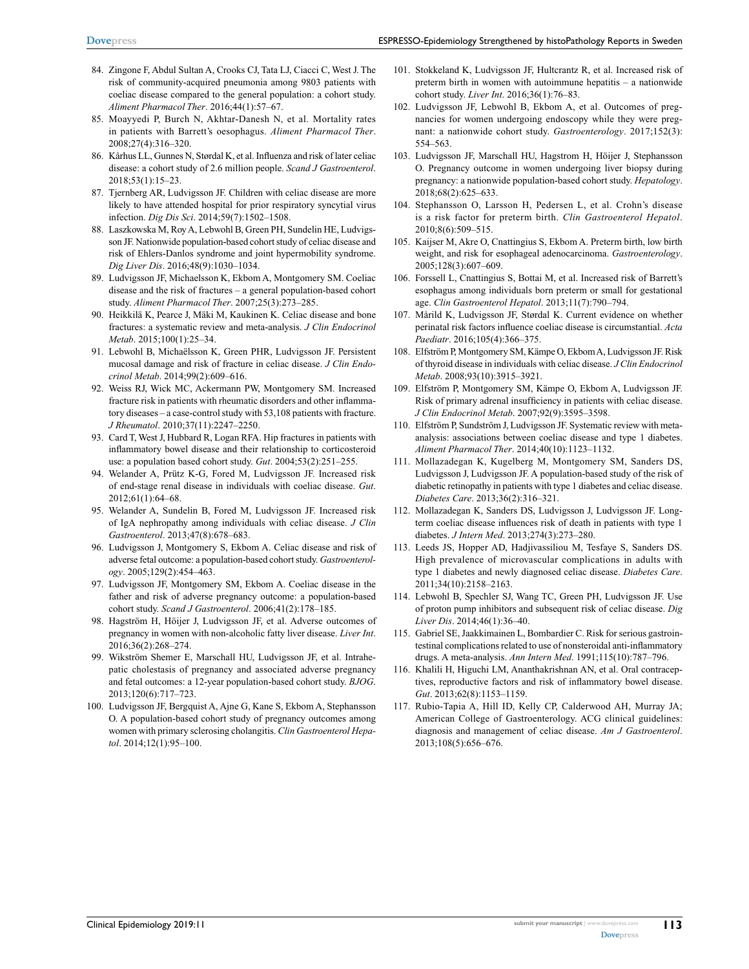- 84. Zingone F, Abdul Sultan A, Crooks CJ, Tata LJ, Ciacci C, West J. The risk of community-acquired pneumonia among 9803 patients with coeliac disease compared to the general population: a cohort study. *Aliment Pharmacol Ther*. 2016;44(1):57–67.
- 85. Moayyedi P, Burch N, Akhtar-Danesh N, et al. Mortality rates in patients with Barrett's oesophagus. *Aliment Pharmacol Ther*. 2008;27(4):316–320.
- 86. Kårhus LL, Gunnes N, Størdal K, et al. Influenza and risk of later celiac disease: a cohort study of 2.6 million people. *Scand J Gastroenterol*. 2018;53(1):15–23.
- 87. Tjernberg AR, Ludvigsson JF. Children with celiac disease are more likely to have attended hospital for prior respiratory syncytial virus infection. *Dig Dis Sci*. 2014;59(7):1502–1508.
- 88. Laszkowska M, Roy A, Lebwohl B, Green PH, Sundelin HE, Ludvigsson JF. Nationwide population-based cohort study of celiac disease and risk of Ehlers-Danlos syndrome and joint hypermobility syndrome. *Dig Liver Dis*. 2016;48(9):1030–1034.
- 89. Ludvigsson JF, Michaelsson K, Ekbom A, Montgomery SM. Coeliac disease and the risk of fractures – a general population-based cohort study. *Aliment Pharmacol Ther*. 2007;25(3):273–285.
- 90. Heikkilä K, Pearce J, Mäki M, Kaukinen K. Celiac disease and bone fractures: a systematic review and meta-analysis. *J Clin Endocrinol Metab*. 2015;100(1):25–34.
- 91. Lebwohl B, Michaëlsson K, Green PHR, Ludvigsson JF. Persistent mucosal damage and risk of fracture in celiac disease. *J Clin Endocrinol Metab*. 2014;99(2):609–616.
- 92. Weiss RJ, Wick MC, Ackermann PW, Montgomery SM. Increased fracture risk in patients with rheumatic disorders and other inflammatory diseases – a case-control study with 53,108 patients with fracture. *J Rheumatol*. 2010;37(11):2247–2250.
- 93. Card T, West J, Hubbard R, Logan RFA. Hip fractures in patients with inflammatory bowel disease and their relationship to corticosteroid use: a population based cohort study. *Gut*. 2004;53(2):251–255.
- 94. Welander A, Prütz K-G, Fored M, Ludvigsson JF. Increased risk of end-stage renal disease in individuals with coeliac disease. *Gut*. 2012;61(1):64–68.
- 95. Welander A, Sundelin B, Fored M, Ludvigsson JF. Increased risk of IgA nephropathy among individuals with celiac disease. *J Clin Gastroenterol*. 2013;47(8):678–683.
- 96. Ludvigsson J, Montgomery S, Ekbom A. Celiac disease and risk of adverse fetal outcome: a population-based cohort study. *Gastroenterology*. 2005;129(2):454–463.
- 97. Ludvigsson JF, Montgomery SM, Ekbom A. Coeliac disease in the father and risk of adverse pregnancy outcome: a population-based cohort study. *Scand J Gastroenterol*. 2006;41(2):178–185.
- 98. Hagström H, Höijer J, Ludvigsson JF, et al. Adverse outcomes of pregnancy in women with non-alcoholic fatty liver disease. *Liver Int*. 2016;36(2):268–274.
- 99. Wikström Shemer E, Marschall HU, Ludvigsson JF, et al. Intrahepatic cholestasis of pregnancy and associated adverse pregnancy and fetal outcomes: a 12-year population-based cohort study. *BJOG*. 2013;120(6):717–723.
- 100. Ludvigsson JF, Bergquist A, Ajne G, Kane S, Ekbom A, Stephansson O. A population-based cohort study of pregnancy outcomes among women with primary sclerosing cholangitis. *Clin Gastroenterol Hepatol*. 2014;12(1):95–100.
- 101. Stokkeland K, Ludvigsson JF, Hultcrantz R, et al. Increased risk of preterm birth in women with autoimmune hepatitis – a nationwide cohort study. *Liver Int*. 2016;36(1):76–83.
- 102. Ludvigsson JF, Lebwohl B, Ekbom A, et al. Outcomes of pregnancies for women undergoing endoscopy while they were pregnant: a nationwide cohort study. *Gastroenterology*. 2017;152(3): 554–563.
- 103. Ludvigsson JF, Marschall HU, Hagstrom H, Höijer J, Stephansson O. Pregnancy outcome in women undergoing liver biopsy during pregnancy: a nationwide population-based cohort study. *Hepatology*. 2018;68(2):625–633.
- 104. Stephansson O, Larsson H, Pedersen L, et al. Crohn's disease is a risk factor for preterm birth. *Clin Gastroenterol Hepatol*. 2010;8(6):509–515.
- 105. Kaijser M, Akre O, Cnattingius S, Ekbom A. Preterm birth, low birth weight, and risk for esophageal adenocarcinoma. *Gastroenterology*. 2005;128(3):607–609.
- 106. Forssell L, Cnattingius S, Bottai M, et al. Increased risk of Barrett's esophagus among individuals born preterm or small for gestational age. *Clin Gastroenterol Hepatol*. 2013;11(7):790–794.
- 107. Mårild K, Ludvigsson JF, Størdal K. Current evidence on whether perinatal risk factors influence coeliac disease is circumstantial. *Acta Paediatr*. 2016;105(4):366–375.
- 108. Elfström P, Montgomery SM, Kämpe O, Ekbom A, Ludvigsson JF. Risk of thyroid disease in individuals with celiac disease. *J Clin Endocrinol Metab*. 2008;93(10):3915–3921.
- 109. Elfström P, Montgomery SM, Kämpe O, Ekbom A, Ludvigsson JF. Risk of primary adrenal insufficiency in patients with celiac disease. *J Clin Endocrinol Metab*. 2007;92(9):3595–3598.
- 110. Elfström P, Sundström J, Ludvigsson JF. Systematic review with metaanalysis: associations between coeliac disease and type 1 diabetes. *Aliment Pharmacol Ther*. 2014;40(10):1123–1132.
- 111. Mollazadegan K, Kugelberg M, Montgomery SM, Sanders DS, Ludvigsson J, Ludvigsson JF. A population-based study of the risk of diabetic retinopathy in patients with type 1 diabetes and celiac disease. *Diabetes Care*. 2013;36(2):316–321.
- 112. Mollazadegan K, Sanders DS, Ludvigsson J, Ludvigsson JF. Longterm coeliac disease influences risk of death in patients with type 1 diabetes. *J Intern Med*. 2013;274(3):273–280.
- 113. Leeds JS, Hopper AD, Hadjivassiliou M, Tesfaye S, Sanders DS. High prevalence of microvascular complications in adults with type 1 diabetes and newly diagnosed celiac disease. *Diabetes Care*. 2011;34(10):2158–2163.
- 114. Lebwohl B, Spechler SJ, Wang TC, Green PH, Ludvigsson JF. Use of proton pump inhibitors and subsequent risk of celiac disease. *Dig Liver Dis*. 2014;46(1):36–40.
- 115. Gabriel SE, Jaakkimainen L, Bombardier C. Risk for serious gastrointestinal complications related to use of nonsteroidal anti-inflammatory drugs. A meta-analysis. *Ann Intern Med*. 1991;115(10):787–796.
- 116. Khalili H, Higuchi LM, Ananthakrishnan AN, et al. Oral contraceptives, reproductive factors and risk of inflammatory bowel disease. *Gut*. 2013;62(8):1153–1159.
- 117. Rubio-Tapia A, Hill ID, Kelly CP, Calderwood AH, Murray JA; American College of Gastroenterology. ACG clinical guidelines: diagnosis and management of celiac disease. *Am J Gastroenterol*. 2013;108(5):656–676.